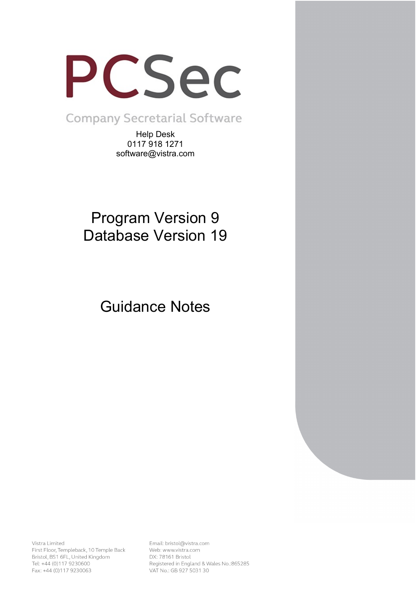

**Company Secretarial Software** 

Help Desk 0117 918 1271 software@vistra.com

# Program Version 9 Database Version 19

Guidance Notes

Vistra Limited First Floor, Templeback, 10 Temple Back Bristol, BS1 6FL, United Kingdom Tel: +44 (0)117 9230600 Fax: +44 (0)117 9230063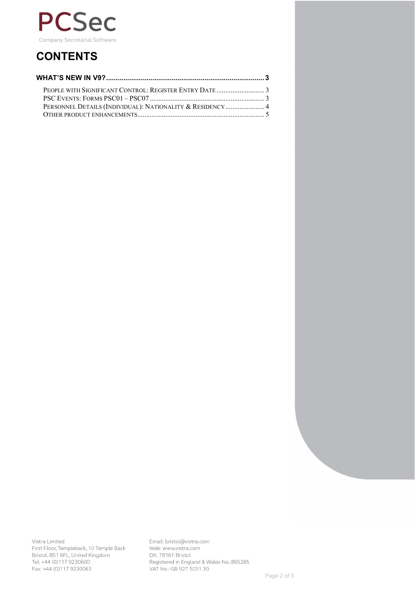

## **CONTENTS**

| PERSONNEL DETAILS (INDIVIDUAL): NATIONALITY & RESIDENCY 4 |  |
|-----------------------------------------------------------|--|
|                                                           |  |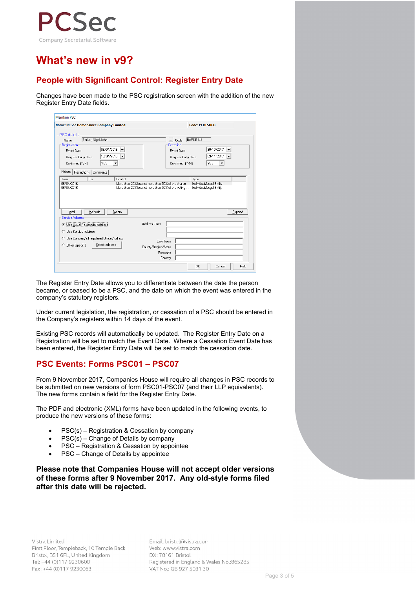

### **What's new in v9?**

### **People with Significant Control: Register Entry Date**

Changes have been made to the PSC registration screen with the addition of the new Register Entry Date fields.

| <b>Name: PCSec Demo Share Company Limited</b>                                                                | <b>Code: PCDESHCO</b>                                                                                                                                                |
|--------------------------------------------------------------------------------------------------------------|----------------------------------------------------------------------------------------------------------------------------------------------------------------------|
| <b>PSC</b> details                                                                                           |                                                                                                                                                                      |
| Barker, Nigel John<br>Name<br>Registration                                                                   | <b>BARKE NJ</b><br>Code<br>$\cdots$<br>Cessation                                                                                                                     |
| 06/04/2016<br>$\overline{\phantom{a}}$<br>Event Date                                                         | 30/10/2017<br>$\overline{\phantom{a}}$<br>Event Date                                                                                                                 |
| 10/04/2016<br>l v<br>Register Entry Date                                                                     | 09/11/2017<br>$\cdot$<br>Register Entry Date                                                                                                                         |
| <b>YES</b><br>Confirmed (Y/N)<br>$\overline{\phantom{a}}$                                                    | <b>YES</b><br>Confirmed (Y/N)                                                                                                                                        |
| Nature<br>Restrictions   Comments                                                                            |                                                                                                                                                                      |
|                                                                                                              |                                                                                                                                                                      |
| To.<br>Control                                                                                               | Type<br>More than 25% but not more than 50% of the shares<br>Individual/Legal Entity<br>More than 25% but not more than 50% of the voting<br>Individual/Legal Entity |
| From<br>06/04/2016<br>06/04/2016<br>Maintain<br>Delete                                                       |                                                                                                                                                                      |
| Add<br><b>Service Address:</b>                                                                               | Expand                                                                                                                                                               |
|                                                                                                              | Address Lines                                                                                                                                                        |
|                                                                                                              |                                                                                                                                                                      |
| <b>C</b> Use Usual Residential Address<br>C Use Service Address<br>C Use Company's Registered Office Address |                                                                                                                                                                      |
| Select address<br>Other (specify)<br>C.                                                                      | City/Town                                                                                                                                                            |
|                                                                                                              | County/Region/State<br>Postcode                                                                                                                                      |

The Register Entry Date allows you to differentiate between the date the person became, or ceased to be a PSC, and the date on which the event was entered in the company's statutory registers.

Under current legislation, the registration, or cessation of a PSC should be entered in the Company's registers within 14 days of the event.

Existing PSC records will automatically be updated. The Register Entry Date on a Registration will be set to match the Event Date. Where a Cessation Event Date has been entered, the Register Entry Date will be set to match the cessation date.

#### **PSC Events: Forms PSC01 – PSC07**

From 9 November 2017, Companies House will require all changes in PSC records to be submitted on new versions of form PSC01-PSC07 (and their LLP equivalents). The new forms contain a field for the Register Entry Date.

The PDF and electronic (XML) forms have been updated in the following events, to produce the new versions of these forms:

- PSC(s) Registration & Cessation by company
- PSC(s) Change of Details by company
- PSC Registration & Cessation by appointee
- PSC Change of Details by appointee

**Please note that Companies House will not accept older versions of these forms after 9 November 2017. Any old-style forms filed after this date will be rejected.**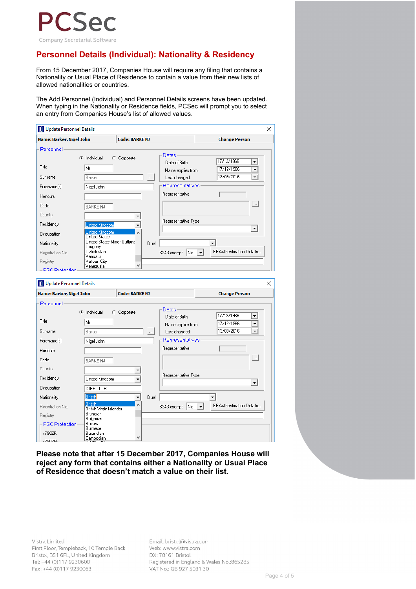

### **Personnel Details (Individual): Nationality & Residency**

From 15 December 2017, Companies House will require any filing that contains a Nationality or Usual Place of Residence to contain a value from their new lists of allowed nationalities or countries.

The Add Personnel (Individual) and Personnel Details screens have been updated. When typing in the Nationality or Residence fields, PCSec will prompt you to select an entry from Companies House's list of allowed values.

| Name: Barker, Nigel John                                                                                                                                  |                                           | <b>Code: BARKE NJ</b> |          |                                     | <b>Change Person</b>                   |
|-----------------------------------------------------------------------------------------------------------------------------------------------------------|-------------------------------------------|-----------------------|----------|-------------------------------------|----------------------------------------|
| Personnel                                                                                                                                                 |                                           |                       |          |                                     |                                        |
|                                                                                                                                                           | C Individual                              | C Corporate           |          | Dates-                              |                                        |
|                                                                                                                                                           |                                           |                       |          | Date of Birth:                      | 17/12/1966<br>۰                        |
| Title                                                                                                                                                     | Mr                                        |                       |          | Name applies from:                  | 17/12/1966<br>۰                        |
| Surname                                                                                                                                                   | Barker                                    |                       | $\ldots$ | Last changed:                       | 13/09/2016<br>$\overline{\phantom{a}}$ |
| Forename(s)                                                                                                                                               | Nigel John                                |                       |          | Representatives                     |                                        |
|                                                                                                                                                           |                                           |                       |          | Representative                      |                                        |
| Honours                                                                                                                                                   |                                           |                       |          |                                     |                                        |
| Code                                                                                                                                                      | <b>BARKE NJ</b>                           |                       |          |                                     | $\ldots$                               |
| Country                                                                                                                                                   |                                           |                       |          |                                     |                                        |
| Residency                                                                                                                                                 | <b>United Kingdom</b>                     |                       |          | Representative Type                 |                                        |
|                                                                                                                                                           | <b>United Kingdom</b>                     | ▼                     |          |                                     | ▾                                      |
| Occupation                                                                                                                                                | <b>United States</b>                      |                       |          |                                     |                                        |
| Nationality                                                                                                                                               | United States Minor Outlying<br>Uruguay   |                       | Dual     |                                     | $\blacktriangledown$                   |
| Registration No.                                                                                                                                          | Uzbekistan                                |                       |          | 1No<br>S243 exempt<br>$\mathbf{v}$  | EF Authentication Details              |
| Registry                                                                                                                                                  | Vanuatu<br>Vatican City                   |                       |          |                                     |                                        |
| - PSC Protection                                                                                                                                          | Venezuela                                 | u                     |          |                                     |                                        |
|                                                                                                                                                           |                                           |                       |          |                                     |                                        |
|                                                                                                                                                           |                                           | <b>Code: BARKE NJ</b> |          |                                     | <b>Change Person</b>                   |
|                                                                                                                                                           |                                           |                       |          |                                     |                                        |
|                                                                                                                                                           | C Individual                              | C Corporate           |          | Dates-                              | 17/12/1966<br>۰                        |
|                                                                                                                                                           | lМr                                       |                       |          | Date of Birth:                      | 17/12/1966<br>$\overline{\phantom{a}}$ |
|                                                                                                                                                           | Barker                                    |                       | $\cdots$ | Name applies from:<br>Last changed: | 13/09/2016<br>$\overline{\phantom{a}}$ |
|                                                                                                                                                           |                                           |                       |          | Representatives                     |                                        |
|                                                                                                                                                           | Nigel John                                |                       |          |                                     |                                        |
|                                                                                                                                                           |                                           |                       |          | Representative                      |                                        |
|                                                                                                                                                           | <b>BARKE NJ</b>                           |                       |          |                                     | $\ldots$                               |
|                                                                                                                                                           |                                           |                       |          |                                     |                                        |
| <b>DI</b> Update Personnel Details<br>Name: Barker, Nigel John<br>Personnel<br>Title<br>Surname<br>Forename(s)<br>Honours<br>Code<br>Country<br>Residency | United Kingdom                            |                       |          | Representative Type                 |                                        |
|                                                                                                                                                           |                                           |                       |          |                                     | $\blacktriangledown$                   |
|                                                                                                                                                           | <b>DIRECTOR</b>                           |                       |          |                                     |                                        |
|                                                                                                                                                           | <b>British</b>                            | ٠                     | Dual     |                                     | $\overline{\phantom{a}}$               |
|                                                                                                                                                           | <b>British</b><br>British Virgin Islander |                       |          | S243 exempt<br> No<br>▾╎            | EF Authentication Details              |
| Occupation<br>Nationality<br>Registration No.<br>Registry                                                                                                 | Bruneian                                  |                       |          |                                     |                                        |
| PSC Protection                                                                                                                                            | Bulgarian<br>Burkinan                     |                       |          |                                     |                                        |
| s790ZF:                                                                                                                                                   | Burmese<br>Burundian                      |                       |          |                                     |                                        |

**Please note that after 15 December 2017, Companies House will reject any form that contains either a Nationality or Usual Place of Residence that doesn't match a value on their list.**